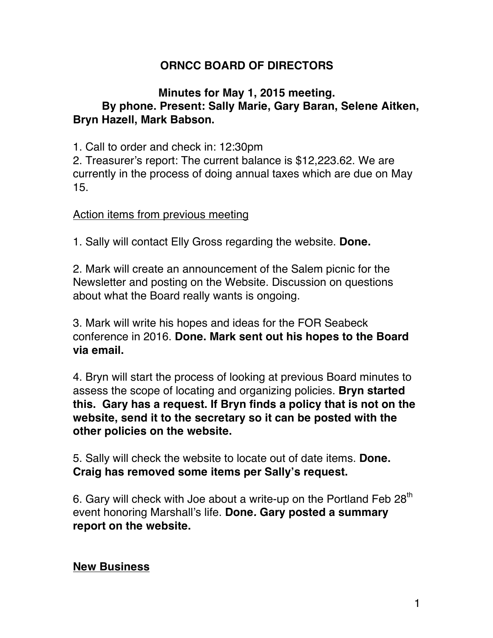# **ORNCC BOARD OF DIRECTORS**

#### **Minutes for May 1, 2015 meeting. By phone. Present: Sally Marie, Gary Baran, Selene Aitken, Bryn Hazell, Mark Babson.**

1. Call to order and check in: 12:30pm

2. Treasurer's report: The current balance is \$12,223.62. We are currently in the process of doing annual taxes which are due on May 15.

#### Action items from previous meeting

1. Sally will contact Elly Gross regarding the website. **Done.**

2. Mark will create an announcement of the Salem picnic for the Newsletter and posting on the Website. Discussion on questions about what the Board really wants is ongoing.

3. Mark will write his hopes and ideas for the FOR Seabeck conference in 2016. **Done. Mark sent out his hopes to the Board via email.** 

4. Bryn will start the process of looking at previous Board minutes to assess the scope of locating and organizing policies. **Bryn started this. Gary has a request. If Bryn finds a policy that is not on the website, send it to the secretary so it can be posted with the other policies on the website.**

5. Sally will check the website to locate out of date items. **Done. Craig has removed some items per Sally's request.**

6. Gary will check with Joe about a write-up on the Portland Feb  $28<sup>th</sup>$ event honoring Marshall's life. **Done***.* **Gary posted a summary report on the website.**

#### **New Business**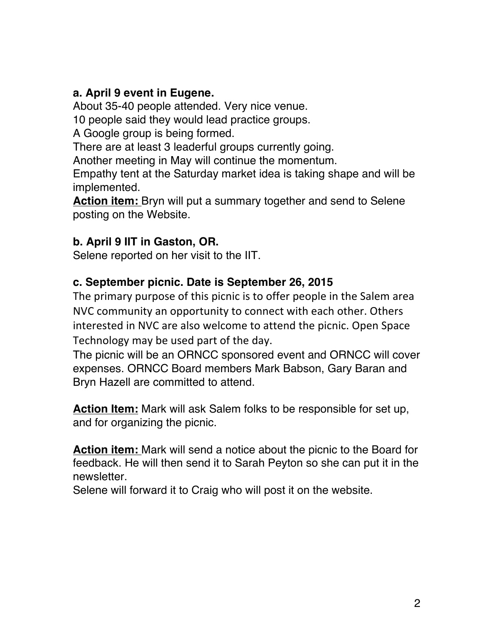### **a. April 9 event in Eugene.**

About 35-40 people attended. Very nice venue.

10 people said they would lead practice groups.

A Google group is being formed.

There are at least 3 leaderful groups currently going.

Another meeting in May will continue the momentum.

Empathy tent at the Saturday market idea is taking shape and will be implemented.

**Action item:** Bryn will put a summary together and send to Selene posting on the Website.

### **b. April 9 IIT in Gaston, OR.**

Selene reported on her visit to the IIT.

# **c. September picnic. Date is September 26, 2015**

The primary purpose of this picnic is to offer people in the Salem area NVC community an opportunity to connect with each other. Others interested in NVC are also welcome to attend the picnic. Open Space Technology may be used part of the day.

The picnic will be an ORNCC sponsored event and ORNCC will cover expenses. ORNCC Board members Mark Babson, Gary Baran and Bryn Hazell are committed to attend.

**Action Item:** Mark will ask Salem folks to be responsible for set up, and for organizing the picnic.

**Action item:** Mark will send a notice about the picnic to the Board for feedback. He will then send it to Sarah Peyton so she can put it in the newsletter.

Selene will forward it to Craig who will post it on the website.